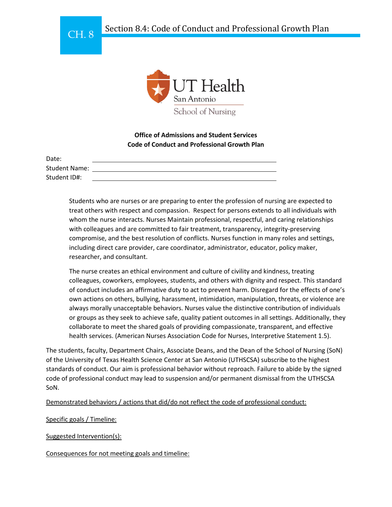



**Office of Admissions and Student Services Code of Conduct and Professional Growth Plan**

| Date:                |  |
|----------------------|--|
| <b>Student Name:</b> |  |
| Student ID#:         |  |

Students who are nurses or are preparing to enter the profession of nursing are expected to treat others with respect and compassion. Respect for persons extends to all individuals with whom the nurse interacts. Nurses Maintain professional, respectful, and caring relationships with colleagues and are committed to fair treatment, transparency, integrity-preserving compromise, and the best resolution of conflicts. Nurses function in many roles and settings, including direct care provider, care coordinator, administrator, educator, policy maker, researcher, and consultant.

The nurse creates an ethical environment and culture of civility and kindness, treating colleagues, coworkers, employees, students, and others with dignity and respect. This standard of conduct includes an affirmative duty to act to prevent harm. Disregard for the effects of one's own actions on others, bullying, harassment, intimidation, manipulation, threats, or violence are always morally unacceptable behaviors. Nurses value the distinctive contribution of individuals or groups as they seek to achieve safe, quality patient outcomes in all settings. Additionally, they collaborate to meet the shared goals of providing compassionate, transparent, and effective health services. (American Nurses Association Code for Nurses, Interpretive Statement 1.5).

The students, faculty, Department Chairs, Associate Deans, and the Dean of the School of Nursing (SoN) of the University of Texas Health Science Center at San Antonio (UTHSCSA) subscribe to the highest standards of conduct. Our aim is professional behavior without reproach. Failure to abide by the signed code of professional conduct may lead to suspension and/or permanent dismissal from the UTHSCSA SoN.

## Demonstrated behaviors / actions that did/do not reflect the code of professional conduct:

Specific goals / Timeline:

Suggested Intervention(s):

Consequences for not meeting goals and timeline: